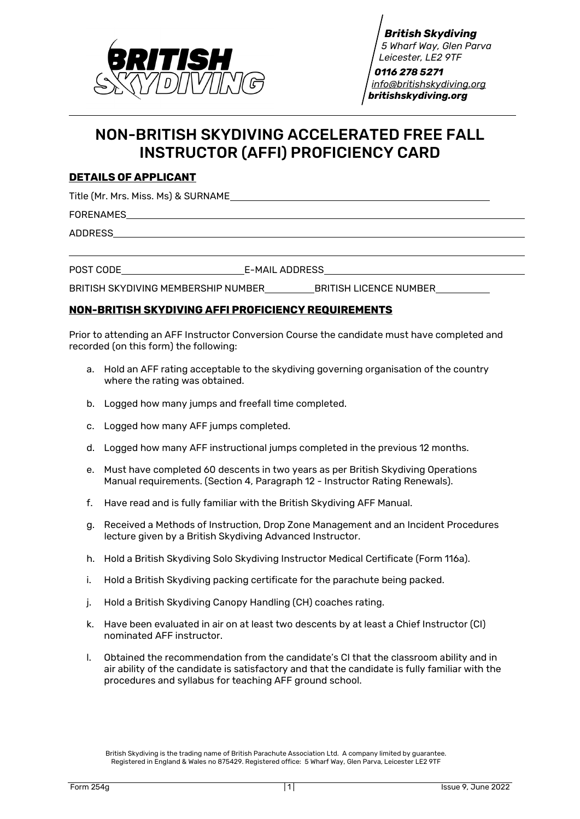

 *0116 278 5271 [info@britishskydiving.org](mailto:info@britishskydiving.org) britishskydiving.org*

# NON-BRITISH SKYDIVING ACCELERATED FREE FALL INSTRUCTOR (AFFI) PROFICIENCY CARD

## **DETAILS OF APPLICANT**

Title (Mr. Mrs. Miss. Ms) & SURNAME

FORENAMES

ADDRESS

POST CODE E-MAIL ADDRESS

BRITISH SKYDIVING MEMBERSHIP NUMBER BRITISH LICENCE NUMBER

# **NON-BRITISH SKYDIVING AFFI PROFICIENCY REQUIREMENTS**

Prior to attending an AFF Instructor Conversion Course the candidate must have completed and recorded (on this form) the following:

- a. Hold an AFF rating acceptable to the skydiving governing organisation of the country where the rating was obtained.
- b. Logged how many jumps and freefall time completed.
- c. Logged how many AFF jumps completed.
- d. Logged how many AFF instructional jumps completed in the previous 12 months.
- e. Must have completed 60 descents in two years as per British Skydiving Operations Manual requirements. (Section 4, Paragraph 12 - Instructor Rating Renewals).
- f. Have read and is fully familiar with the British Skydiving AFF Manual.
- g. Received a Methods of Instruction, Drop Zone Management and an Incident Procedures lecture given by a British Skydiving Advanced Instructor.
- h. Hold a British Skydiving Solo Skydiving Instructor Medical Certificate (Form 116a).
- i. Hold a British Skydiving packing certificate for the parachute being packed.
- j. Hold a British Skydiving Canopy Handling (CH) coaches rating.
- k. Have been evaluated in air on at least two descents by at least a Chief Instructor (CI) nominated AFF instructor.
- l. Obtained the recommendation from the candidate's CI that the classroom ability and in air ability of the candidate is satisfactory and that the candidate is fully familiar with the procedures and syllabus for teaching AFF ground school.

British Skydiving is the trading name of British Parachute Association Ltd. A company limited by guarantee. Registered in England & Wales no 875429. Registered office: 5 Wharf Way, Glen Parva, Leicester LE2 9TF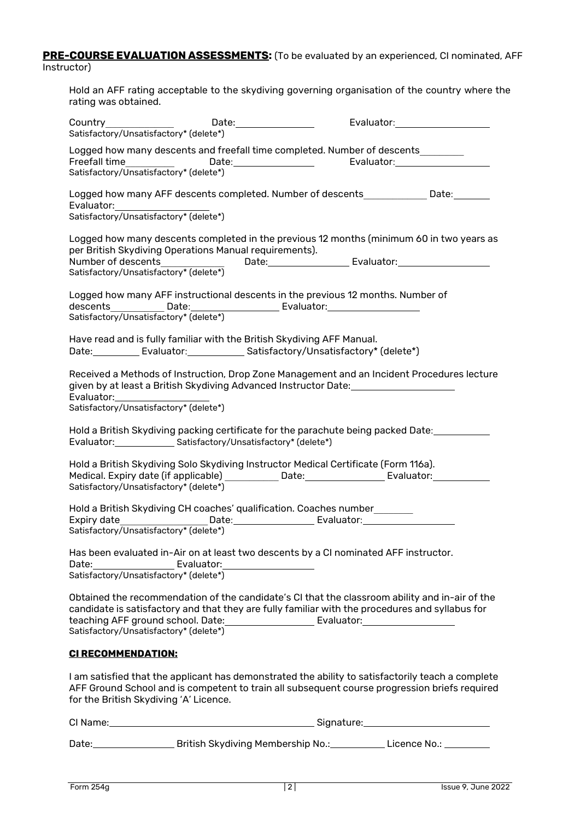#### **PRE-COURSE EVALUATION ASSESSMENTS:** (To be evaluated by an experienced, CI nominated, AFF Instructor)

Hold an AFF rating acceptable to the skydiving governing organisation of the country where the rating was obtained.

| Satisfactory/Unsatisfactory* (delete*)                                                                                                                                                                                                                                                                                                             |  |  |
|----------------------------------------------------------------------------------------------------------------------------------------------------------------------------------------------------------------------------------------------------------------------------------------------------------------------------------------------------|--|--|
| Logged how many descents and freefall time completed. Number of descents<br>Satisfactory/Unsatisfactory* (delete*)                                                                                                                                                                                                                                 |  |  |
| Logged how many AFF descents completed. Number of descents _____________Date:_______<br>Satisfactory/Unsatisfactory* (delete*)                                                                                                                                                                                                                     |  |  |
| Logged how many descents completed in the previous 12 months (minimum 60 in two years as<br>per British Skydiving Operations Manual requirements).<br>Number of descents_______________  Date:________________________Evaluator:_________________________<br>Satisfactory/Unsatisfactory* (delete*)                                                |  |  |
| Logged how many AFF instructional descents in the previous 12 months. Number of<br>Satisfactory/Unsatisfactory* (delete*)                                                                                                                                                                                                                          |  |  |
| Have read and is fully familiar with the British Skydiving AFF Manual.<br>Date: Evaluator: Satisfactory/Unsatisfactory* (delete*)                                                                                                                                                                                                                  |  |  |
| Received a Methods of Instruction, Drop Zone Management and an Incident Procedures lecture<br>given by at least a British Skydiving Advanced Instructor Date: ________________<br>Evaluator: Evaluator:<br>Satisfactory/Unsatisfactory* (delete*)                                                                                                  |  |  |
| Hold a British Skydiving packing certificate for the parachute being packed Date:_______<br>Evaluator: ________________ Satisfactory/Unsatisfactory* (delete*)                                                                                                                                                                                     |  |  |
| Hold a British Skydiving Solo Skydiving Instructor Medical Certificate (Form 116a).<br>Medical. Expiry date (if applicable) ____________ Date:___________________ Evaluator:__________<br>Satisfactory/Unsatisfactory* (delete*)                                                                                                                   |  |  |
| Hold a British Skydiving CH coaches' qualification. Coaches number<br>Satisfactory/Unsatisfactory* (delete*)                                                                                                                                                                                                                                       |  |  |
| Has been evaluated in-Air on at least two descents by a CI nominated AFF instructor.<br>Satisfactory/Unsatisfactory* (delete*)                                                                                                                                                                                                                     |  |  |
| Obtained the recommendation of the candidate's CI that the classroom ability and in-air of the<br>candidate is satisfactory and that they are fully familiar with the procedures and syllabus for<br>teaching AFF ground school. Date: ___________________________Evaluator: ___________________________<br>Satisfactory/Unsatisfactory* (delete*) |  |  |
| <b>CI RECOMMENDATION:</b>                                                                                                                                                                                                                                                                                                                          |  |  |
| I am satisfied that the applicant has demonstrated the ability to satisfactorily teach a complete<br>AFF Ground School and is competent to train all subsequent course progression briefs required<br>for the British Skydiving 'A' Licence.                                                                                                       |  |  |
|                                                                                                                                                                                                                                                                                                                                                    |  |  |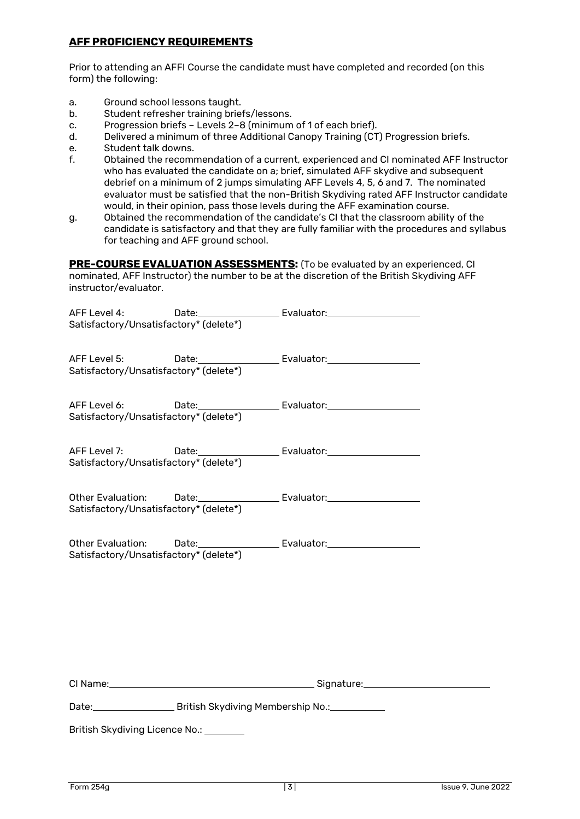# **AFF PROFICIENCY REQUIREMENTS**

Prior to attending an AFFI Course the candidate must have completed and recorded (on this form) the following:

- a. Ground school lessons taught.<br>b. Student refresher training brief
- Student refresher training briefs/lessons.
- c. Progression briefs Levels 2–8 (minimum of 1 of each brief).
- d. Delivered a minimum of three Additional Canopy Training (CT) Progression briefs.
- e. Student talk downs.
- f. Obtained the recommendation of a current, experienced and CI nominated AFF Instructor who has evaluated the candidate on a; brief, simulated AFF skydive and subsequent debrief on a minimum of 2 jumps simulating AFF Levels 4, 5, 6 and 7. The nominated evaluator must be satisfied that the non-British Skydiving rated AFF Instructor candidate would, in their opinion, pass those levels during the AFF examination course.
- g. Obtained the recommendation of the candidate's CI that the classroom ability of the candidate is satisfactory and that they are fully familiar with the procedures and syllabus for teaching and AFF ground school.

**PRE-COURSE EVALUATION ASSESSMENTS:** (To be evaluated by an experienced, CI nominated, AFF Instructor) the number to be at the discretion of the British Skydiving AFF instructor/evaluator.

| AFF Level 4:<br>Satisfactory/Unsatisfactory* (delete*) |                                                                                                                |
|--------------------------------------------------------|----------------------------------------------------------------------------------------------------------------|
|                                                        |                                                                                                                |
| Satisfactory/Unsatisfactory* (delete*)                 |                                                                                                                |
|                                                        |                                                                                                                |
| Satisfactory/Unsatisfactory* (delete*)                 |                                                                                                                |
|                                                        |                                                                                                                |
| Satisfactory/Unsatisfactory* (delete*)                 |                                                                                                                |
|                                                        |                                                                                                                |
| Satisfactory/Unsatisfactory* (delete*)                 | Other Evaluation: Date: Cambridge Evaluator: China Evaluator:                                                  |
|                                                        |                                                                                                                |
|                                                        | Other Evaluation: Date: Change Manual Evaluator: Change Manual Change Manual Change Manual Change Manual Chang |
| Satisfactory/Unsatisfactory* (delete*)                 |                                                                                                                |
|                                                        |                                                                                                                |
|                                                        |                                                                                                                |
|                                                        |                                                                                                                |
|                                                        |                                                                                                                |
|                                                        |                                                                                                                |
|                                                        | Date: British Skydiving Membership No.: 2008.                                                                  |
| British Skydiving Licence No.:                         |                                                                                                                |